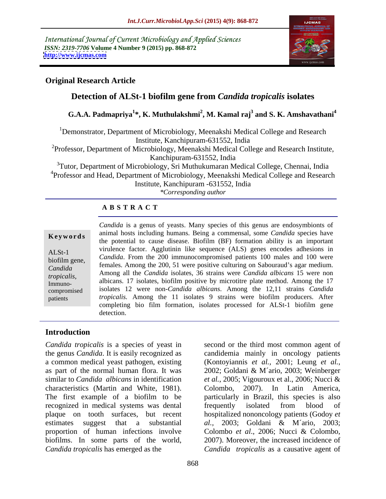International Journal of Current Microbiology and Applied Sciences *ISSN: 2319-7706* **Volume 4 Number 9 (2015) pp. 868-872 <http://www.ijcmas.com>**



# **Original Research Article**

# **Detection of ALSt-1 biofilm gene from** *Candida tropicalis* **isolates**

# **G.A.A. Padmapriya<sup>1</sup> \*, K. Muthulakshmi<sup>2</sup> , M. Kamal raj3 and S. K. Amshavathani<sup>4</sup>**

<sup>1</sup>Demonstrator, Department of Microbiology, Meenakshi Medical College and Research Institute, Kanchipuram-631552, India

<sup>2</sup>Professor, Department of Microbiology, Meenakshi Medical College and Research Institute, Kanchipuram-631552, India

<sup>3</sup>Tutor, Department of Microbiology, Sri Muthukumaran Medical College, Chennai, India <sup>4</sup>Professor and Head, Department of Microbiology, Meenakshi Medical College and Research Institute, Kanchipuram -631552, India

*\*Corresponding author*

## **A B S T R A C T**

patients

*Candida* is a genus of yeasts. Many species of this genus are endosymbionts of animal hosts including humans. Being a commensal, some *Candida* species have **Keywords** and a differential to cause disease. Biofilm (BF) formation ability is an important the potential to cause disease. Biofilm (BF) formation ability is an important virulence factor. Agglutinin like sequence (ALS) genes encodes adhesions in ALSt-1<br>hiofilm gane *Candida*. From the 200 immunocompromised patients 100 males and 100 were females. Among the 200, 51 were positive culturing on Sabouraud's agar medium. Among all the *Candida* isolates, 36 strains were *Candida albicans* 15 were non *Candida tropicalis,* Alliong an the Canatal isolates, 50 strains were Canatal abocans 15 were non<br>*Immuno*isolates 12 were non-*Candida albicans*. Among the 12,11 strains *Candida*  compromised *tropicalis.* Among the 11 isolates 9 strains were biofilm producers. After completing bio film formation, isolates processed for ALSt-1 biofilm gene detection. biofilm gene,  $\frac{1}{2}$   $\frac{1}{2}$   $\frac{1}{2}$   $\frac{1}{2}$   $\frac{1}{2}$   $\frac{200}{2}$   $\frac{51}{2}$   $\frac{1}{2}$   $\frac{1}{2}$   $\frac{1}{2}$   $\frac{1}{2}$   $\frac{1}{2}$   $\frac{1}{2}$   $\frac{1}{2}$   $\frac{1}{2}$   $\frac{1}{2}$   $\frac{1}{2}$   $\frac{1}{2}$   $\frac{1}{2}$   $\frac{1}{2}$   $\frac{$ Immuno-<br>Immuno-<br>Immuno-<br>Immuno-

# **Introduction**

*Candida tropicalis* is a species of yeast in second or the third most common agent of a common medical yeast pathogen, existing (Kontoviannis et al., 2001; Leung et al., as part of the normal human flora. It was 2002; Goldani & M'ario, 2003; Weinberger characteristics (Martin and White, 1981). Colombo, 2007). In Latin America, recognized in medical systems was dental *Candida tropicalis* has emerged as the *Candida tropicalis* as a causative agent of

the genus *Candida*. It is easily recognized as candidemia mainly in oncology patients similar to *Candida albicans* in identification *et al.*, 2005; Vigouroux et al., 2006; Nucci & The first example of a biofilm to be particularly in Brazil, this species is also plaque on tooth surfaces, but recent hospitalized nononcology patients (Godoy *et*  estimates suggest that a substantial *al.,* 2003; Goldani & M´ario, 2003; proportion of human infections involve Colombo *et al*., 2006; Nucci & Colombo, biofilms. In some parts of the world, 2007). Moreover, the increased incidence of (Kontoyiannis *et al.,* 2001; Leung *et al.*, 2002; Goldani & M´ario, 2003; Weinberger Colombo, 2007). In Latin America, frequently isolated from blood of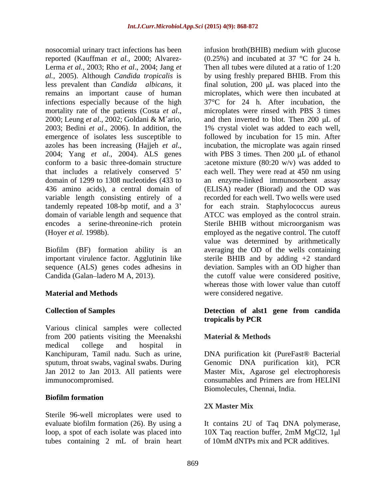nosocomial urinary tract infections has been infusion broth(BHIB) medium with glucose Lerma *et al.,* 2003; Rho *et al*., 2004; Jang *et*  infections especially because of the high variable length consisting entirely of a

Various clinical samples were collected from 200 patients visiting the Meenakshi Material & Methods medical college and hospital in Kanchipuram, Tamil nadu. Such as urine, DNA purification kit (PureFast® Bacterial sputum, throat swabs, vaginal swabs. During Jan 2012 to Jan 2013. All patients were immunocompromised. consumables and Primers are from HELINI

## **Biofilm formation**

Sterile 96-well microplates were used to evaluate biofilm formation (26). By using a It contains 2U of Taq DNA polymerase, loop, a spot of each isolate was placed into local 10X Taq reaction buffer, 2mM MgCl2, 1µl tubes containing 2 mL of brain heart

reported (Kauffman *et al.,* 2000; Alvarez- (0.25%) and incubated at 37 °C for 24 h. *al.,* 2005). Although *Candida tropicalis* is by using freshly prepared BHIB. From this less prevalent than *Candida albicans*, it final solution, 200 µL was placed into the remains an important cause of human microplates, which were then incubated at mortality rate of the patients (Costa *et al.*, microplates were rinsed with PBS 3 times 2000; Leung *et al.*, 2002; Goldani & M´ario, and then inverted to blot. Then 200 µL of 2003; Bedini *et al*., 2006). In addition, the 1% crystal violet was added to each well, emergence of isolates less susceptible to followed by incubation for 15 min. After azoles has been increasing (Hajjeh *et al.*, incubation, the microplate was again rinsed 2004; Yang *et al.*, 2004). ALS genes with PBS 3 times. Then 200 µL of ethanol conform to a basic three-domain structure :acetone mixture (80:20 w/v) was added to that includes a relatively conserved 5 each well. They were read at 450 nm using domain of 1299 to 1308 nucleotides (433 to an enzyme-linked immunosorbent assay 436 amino acids), a central domain of (ELISA) reader (Biorad) and the OD was tandemly repeated 108-bp motif, and a 3' for each strain. Staphylococcus aureus domain of variable length and sequence that ATCC was employed as the control strain. encodes a serine-threonine-rich protein Sterile BHIB without microorganism was (Hoyer *et al.* 1998b). employed as the negative control. The cutoff Biofilm (BF) formation ability is an averaging the OD of the wells containing important virulence factor. Agglutinin like sterile BHIB and by adding +2 standard sequence (ALS) genes codes adhesins in deviation. Samples with an OD higher than Candida (Galan ladero M A, 2013). the cutoff value were considered positive, **Material and Methods Example 20 were considered negative.** Then all tubes were diluted at a ratio of 1:20 37°C for 24 h. After incubation, the microplates were rinsed with PBS 3 times and then inverted to blot. Then  $200 \mu L$  of incubation, the microplate was again rinsed with PBS  $3$  times. Then  $200 \mu L$  of ethanol recorded for each well. Two wells were used value was determined by arithmetically whereas those with lower value than cutoff

## **Collection of Samples Detection of alst1 gene from candida tropicalis by PCR**

## **Material & Methods**

Genomic DNA purification kit), PCR Master Mix, Agarose gel electrophoresis consumables and Primers are from HELINI Biomolecules, Chennai, India.

## **2X Master Mix**

10X Taq reaction buffer, 2mM MgCl2, 1µl of 10mM dNTPs mix and PCR additives.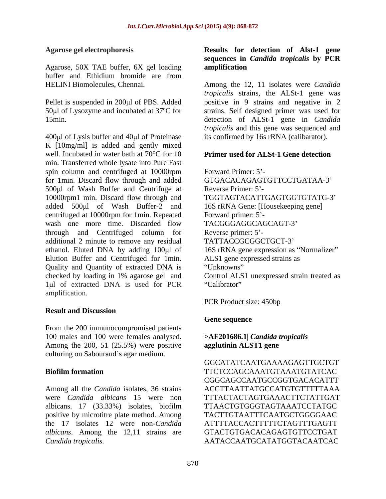Agarose, 50X TAE buffer, 6X gel loading buffer and Ethidium bromide are from

400 $\mu$ l of Lysis buffer and 40 $\mu$ l of Proteinase K [10mg/ml] is added and gently mixed well. Incubated in water bath at 70°C for 10 min. Transferred whole lysate into Pure Fast spin column and centrifuged at 10000rpm Forward Primer: 5'for 1min. Discard flow through and added 500 ul of Wash Buffer and Centrifuge at Reverse Primer: 5'-10000rpm1 min. Discard flow through and added 500ul of Wash Buffer-2 and centrifuged at 10000rpm for 1min. Repeated wash one more time. Discarded flow through and Centrifuged column for Reverse primer: 5'additional 2 minute to remove any residual TATTACCGCGGCTGCT-3' ethanol. Eluted DNA by adding 100µl of Elution Buffer and Centrifuged for 1min. Quality and Quantity of extracted DNA is checked by loading in 1% agarose gel and Control ALS1 unexpressed strain treated as 1µl of extracted DNA is used for PCR "Calibrator" amplification.

## **Result and Discussion**

From the 200 immunocompromised patients 100 males and 100 were females analysed.  $\rightarrow$ AF201686.1| *Candida tropicalis*<br>Among the 200, 51 (25.5%) were positive **agglutinin ALST1 gene** culturing on Sabouraud's agar medium.

Among all the *Candida* isolates, 36 strains ACCTTAATTATGCCATGTGTTTTTAAA were *Candida albicans* 15 were non TTTACTACTAGTGAAACTTCTATTGAT albicans. 17 (33.33%) isolates, biofilm positive by microtitre plate method. Among the 17 isolates 12 were non-*Candida albicans*. Among the 12,11 strains are *Candida tropicalis.* AATACCAATGCATATGGTACAATCAC

### **Agarose gel electrophoresis Results for detection of Alst-1 gene sequences in** *Candida tropicalis* **by PCR amplification**

HELINI Biomolecules, Chennai. Among the 12, 11 isolates were *Candida*  Pellet is suspended in 200µl of PBS. Added positive in 9 strains and negative in 2 50µl of Lysozyme and incubated at 37°C for strains. Self designed primer was used for 15min. detection of ALSt-1 gene in *Candida tropicalis* strains, the ALSt-1 gene was *tropicalis* and this gene was sequenced and its confirmed by 16s rRNA (calibarator).

#### **Primer used for ALSt-1 Gene detection**

Forward Primer: 5'-GTGACACAGAGTGTTCCTGATAA-3 Reverse Primer: 5'-TGGTAGTACATTGAGTGGTGTATG-3 16S rRNA Gene: [Housekeeping gene] Forward primer: 5'-TACGGGAGGCAGCAGT-3 Reverse primer: 5'-TATTACCGCGGCTGCT-3' 16S rRNA gene expression as "Normalizer" ALS1 gene expressed strains as Unknowns" experience of the set of the set of the set of the set of the set of the set of the set of the set of the set of the set of the set of the set of the set of the set of the set of the set of the set of the set of Calibrator" and the contract of the contract of the contract of the contract of the contract of the contract of the contract of the contract of the contract of the contract of the contract of the contract of the contract o

PCR Product size: 450bp

## **Gene sequence**

### **>AF201686.1|** *Candida tropicalis* **agglutinin ALST1 gene**

**Biofilm formation** TTCTCCAGCAAATGTAAATGTATCAC GGCATATCAATGAAAAGAGTTGCTGT CGGCAGCCAATGCCGGTGACACATTT ACCTTAATTATGCCATGTGTTTTTAAA TTAACTGTGGGTAGTAAATCCTATGC TACTTGTAATTTCAATGCTGGGGAAC ATTTTACCACTTTTTCTAGTTTGAGTT GTACTGTGACACAGAGTGTTCCTGAT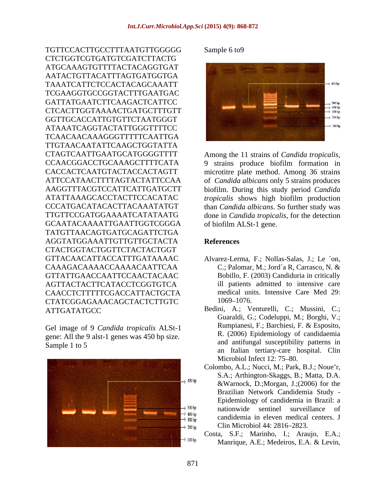TGTTCCACTTGCCTTTAATGTTGGGGG Sample 6 to 9 CTCTGGTCGTGATGTCGATCTTACTG ATGCAAAGTGTTTTACTACAGGTGAT TCGAAGGTGCCGGTACTTTGAATGAC GGTTGCACCATTGTGTTCTAATGGGT TCAACAACAAAGGGTTTTTCAATTGA TTGTAACAATATTCAAGCTGGTATTA CTAGTCAATTGAATGCATGGGGTTTT Among the 11 strains of *Candida tropicalis,* GCAATACAAAATTGAATTGGTCGGGA TATGTTAACAGTGATGCAGATTCTGA AGGTATGGAAATTGTTGTTGCTACTA CTACTGGTACTGGTTCTACTACTGGT GTTACAACATTACCATTTGATAAAAC Alvarez-Lerma, F.; Nollas-Salas, J.; Le ´on, CAAAGACAAAACCAAAACAATTCAA C.; Palomar, M.; Jord´a R, Carrasco, N. & GTTATTGAACCAATTCCAACTACAAC AGTTACTACTTCATACCTCGGTGTCA CAACCTCTTTTTCGACCATTACTGCTA medical un<br>CTATCGGAGAAACAGCTACTCTTGTC 1069–1076. CTATCGGAGAAACAGCTACTCTTGTC

gene: All the 9 alst-1 genes was 450 bp size.



#### Sample 6 to 9



CCAACGGACCTGCAAAGCTTTTCATA 9 strains produce biofilm formation in CACCACTCAATGTACTACCACTAGTT microtitre plate method. Among 36 strains ATTCCATAACTTTTAGTACTATTCCAA of *Candida albicans* only 5 strains produces AAGGTTTACGTCCATTCATTGATGCTT biofilm. During this study period *Candida*  ATATTAAAGCACCTACTTCCACATAC *tropicalis* shows high biofilm production CCCATGACATACACTTACAAATATGT than *Candida albicans*. So further study was TTGTTCCGATGGAAAATCATATAATG done in *Candida tropicalis*, for the detection of biofilm ALSt-1 gene.

#### **References**

- Bobillo, F. (2003) Candiduria in critically ill patients admitted to intensive care medical units. Intensive Care Med 29: 1069–1076.
- ATTGATATGCC Bedini, A.; Venturelli, C.; Mussini, C.; Gel image of 9 *Candida tropicalis* ALSt-1 Rumpianesi, F.; Barchiesi, F. & Esposito, Sample 1 to 5 and and antique susceptionity patterns in Bedini, A.; Venturelli, C.; Mussini, C.; Guaraldi, G.; Codeluppi, M.; Borghi, V.; Rumpianesi, F.; Barchiesi, F. & Esposito, R. (2006) Epidemiology of candidaemia and antifungal susceptibility patterns in an Italian tertiary-care hospital. Clin<br>Microbiol Infect 12: 75–80. Microbiol Infect 12: 75–80.
	- Colombo, A.L.; Nucci, M.; Park, B.J.; Noue'r, S.A.; Arthington-Skaggs, B.; Matta, D.A. &Warnock, D.;Morgan, J.;(2006) for the Brazilian Network Candidemia Study - Epidemiology of candidemia in Brazil: a nationwide sentinel surveillance of candidemia in eleven medical centers. J Clin Microbiol 44: 2816–2823.
	- Costa, S.F.; Marinho, I.; Araujo, E.A.; Manrique, A.E.; Medeiros, E.A. & Levin,